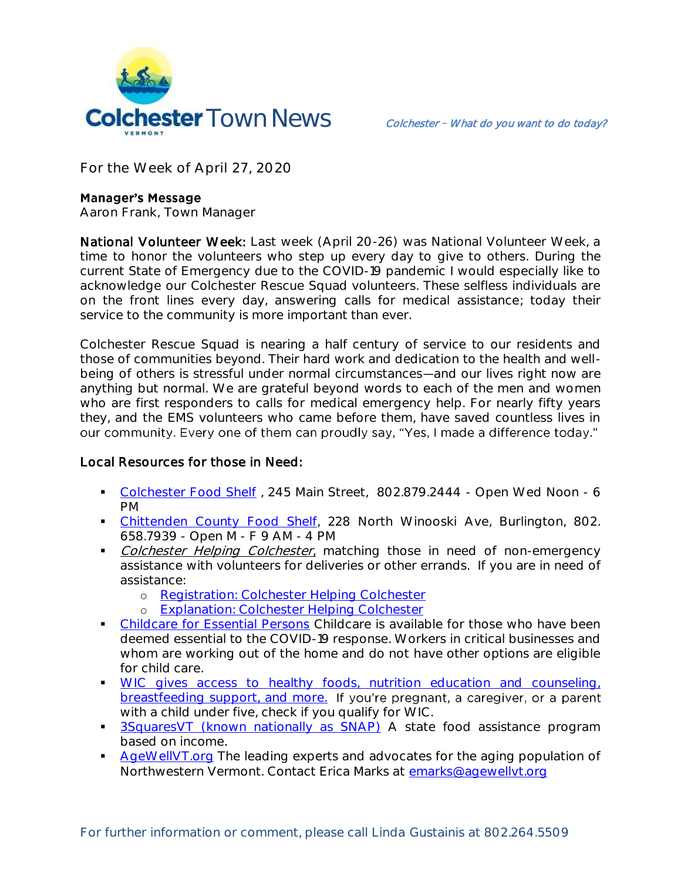

**For the Week of April 27, 2020**

### **Manager's Message**

**Aaron Frank, Town Manager**

National Volunteer Week: Last week (April 20-26) was National Volunteer Week, a time to honor the volunteers who step up every day to give to others. During the current State of Emergency due to the COVID-19 pandemic I would especially like to acknowledge our Colchester Rescue Squad volunteers. These selfless individuals are on the front lines every day, answering calls for medical assistance; today their service to the community is more important than ever.

Colchester Rescue Squad is nearing a half century of service to our residents and those of communities beyond. Their hard work and dedication to the health and wellbeing of others is stressful under normal circumstances—and our lives right now are anything but normal. We are grateful beyond words to each of the men and women who are first responders to calls for medical emergency help. For nearly fifty years they, and the EMS volunteers who came before them, have saved countless lives in our community. Every one of them can proudly say, "Yes, I made a difference today."

# Local Resources for those in Need:

- [Colchester Food Shelf](http://colchesterfoodshelf.org/who/) , 245 Main Street, 802.879.2444 Open Wed Noon 6 PM
- [Chittenden County Food Shelf,](https://feedingchittenden.org/) 228 North Winooski Ave, Burlington, 802. 658.7939 - Open M - F 9 AM - 4 PM
- Colchester Helping Colchester, matching those in need of non-emergency assistance with volunteers for deliveries or other errands. If you are in need of assistance:
	- o [Registration: Colchester Helping Colchester](https://colchesterhelping.colchestervt.us/offering-help)
	- o [Explanation: Colchester Helping Colchester](https://colchestervt.gov/DocumentCenter/View/6008/Colchester-Helping-Colchester)
- [Childcare for Essential Persons](https://vem.vermont.gov/essentialpersons) Childcare is available for those who have been deemed essential to the COVID-19 response. Workers in critical businesses and whom are working out of the home and do not have other options are eligible for child care.
- [WIC gives access to healthy foods, nutrition education and counseling,](https://www.healthvermont.gov/family/wic)  [breastfeeding support, and more.](https://www.healthvermont.gov/family/wic) If you're pregnant, a caregiver, or a parent with a child under five, check if you qualify for WIC.
- **3SquaresVT** (known nationally as SNAP) A state food assistance program based on income.
- [AgeWellVT.org](https://www.agewellvt.org/giving-back/volunteer) The leading experts and advocates for the aging population of Northwestern Vermont. Contact Erica Marks at [emarks@agewellvt.org](mailto:emarks@agewellvt.org)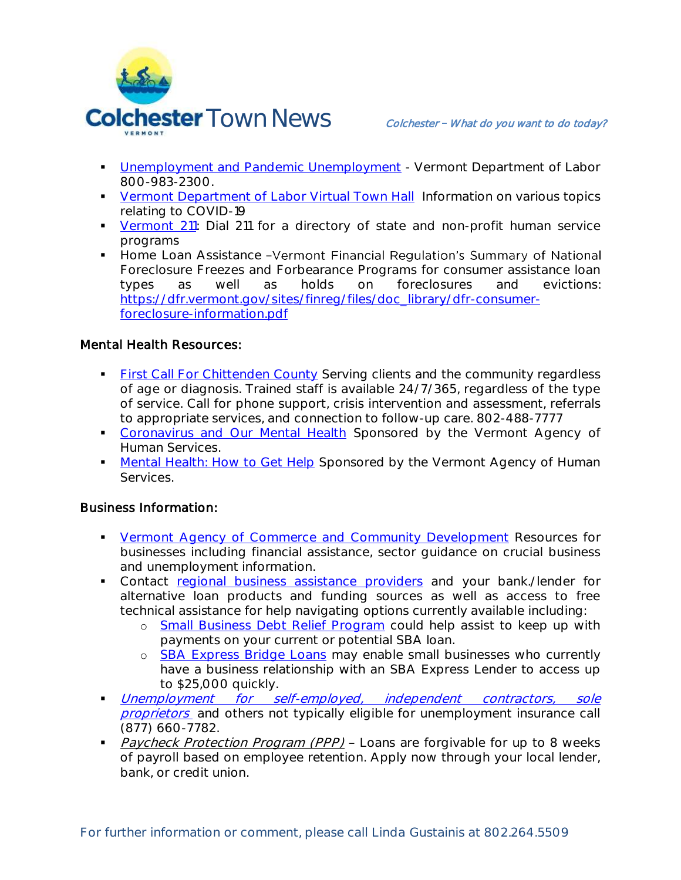

- **[Unemployment and Pandemic Unemployment](https://labor.vermont.gov/) Vermont Department of Labor** 800-983-2300.
- [Vermont Department of Labor Virtual Town Hall](https://labor.vermont.gov/event/virtual-town-hall-series-employers) Information on various topics relating to COVID-19
- [Vermont 211:](https://vermont211.org/) Dial 211 for a directory of state and non-profit human service programs
- **Home Loan Assistance -Vermont Financial Regulation's Summary of National** Foreclosure Freezes and Forbearance Programs for consumer assistance loan types as well as holds on foreclosures and evictions: [https://dfr.vermont.gov/sites/finreg/files/doc\\_library/dfr-consumer](https://dfr.vermont.gov/sites/finreg/files/doc_library/dfr-consumer-foreclosure-information.pdf)[foreclosure-information.pdf](https://dfr.vermont.gov/sites/finreg/files/doc_library/dfr-consumer-foreclosure-information.pdf)

# Mental Health Resources:

- **[First Call For Chittenden County](https://howardcenter.org/first-call-for-chittenden-county/) Serving clients and the community regardless** of age or diagnosis. Trained staff is available 24/7/365, regardless of the type of service. Call for phone support, crisis intervention and assessment, referrals to appropriate services, and connection to follow-up care. 802-488-7777
- [Coronavirus and Our Mental Health](https://mentalhealth.vermont.gov/Corona-MH) Sponsored by the Vermont Agency of Human Services.
- [Mental Health: How to Get Help](https://mentalhealth.vermont.gov/how-to-get-help) Sponsored by the Vermont Agency of Human Services.

# Business Information:

- **[Vermont Agency of Commerce and Community Development](https://accd.vermont.gov/covid-19/individuals) Resources for** businesses including financial assistance, sector guidance on crucial business and unemployment information.
- Contact [regional business assistance providers](https://accd.vermont.gov/covid-19/business/assistance-providers) and your bank./lender for alternative loan products and funding sources as well as access to free technical assistance for help navigating options currently available including:
	- o [Small Business Debt Relief Program](https://accd.vermont.gov/content/small-business-debt-relief-program) could help assist to keep up with payments on your current or potential SBA loan.
	- o [SBA Express Bridge Loans](https://www.sba.gov/funding-programs/loans/coronavirus-relief-options/sba-express-bridge-loans) may enable small businesses who currently have a business relationship with an SBA Express Lender to access up to \$25,000 quickly.
- Unemployment for self-employed, independent contractors, sole [proprietors](https://labor.vermont.gov/CARESact_Vermont/SelfEmployed) and others not typically eligible for unemployment insurance call (877) 660-7782.
- Paycheck Protection Program (PPP) Loans are forgivable for up to 8 weeks of payroll based on employee retention. Apply now through your local lender, bank, or credit union.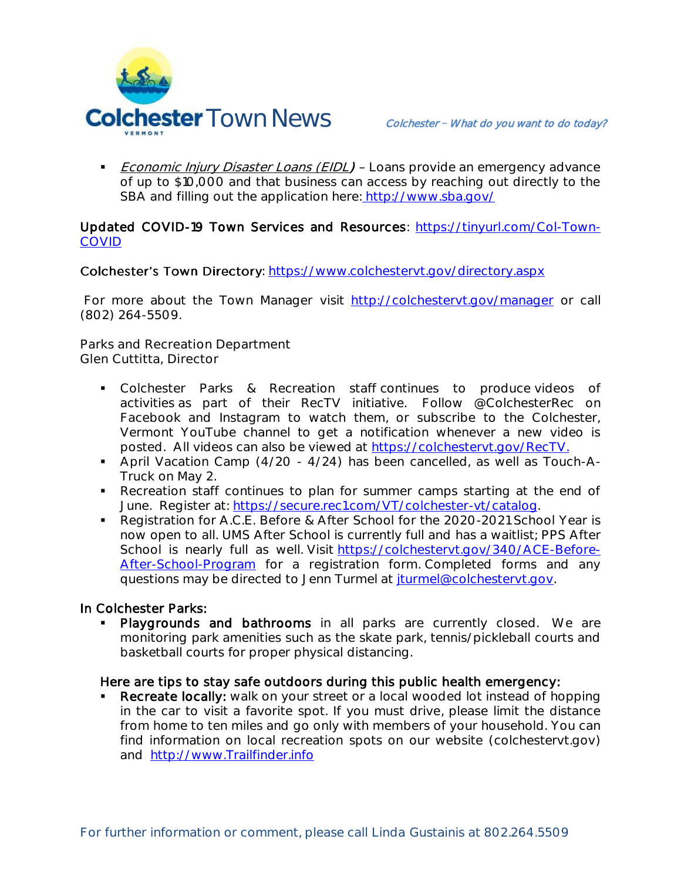

Economic Injury Disaster Loans (EIDL) - Loans provide an emergency advance of up to \$10,000 and that business can access by reaching out directly to the SBA and filling out the application here: [http://www.sba.gov/](https://www.sba.gov/funding-programs/loans/coronavirus-relief-options/economic-injury-disaster-loan-emergency-advance)

### Updated COVID-19 Town Services and Resources: [https://tinyurl.com/Col-Town-](https://tinyurl.com/Col-Town-COVID)[COVID](https://tinyurl.com/Col-Town-COVID)

### Colchester's Town Directory:<https://www.colchestervt.gov/directory.aspx>

For more about the Town Manager visit<http://colchestervt.gov/manager> or call (802) 264-5509.

**Parks and Recreation Department Glen Cuttitta, Director**

- Colchester Parks & Recreation staff continues to produce videos of activities as part of their RecTV initiative. Follow @ColchesterRec on Facebook and Instagram to watch them, or subscribe to the Colchester, Vermont YouTube channel to get a notification whenever a new video is posted. All videos can also be viewed at [https://colchestervt.gov/RecTV.](https://colchestervt.gov/RecTV)
- April Vacation Camp (4/20 4/24) has been cancelled, as well as Touch-A-Truck on May 2.
- Recreation staff continues to plan for summer camps starting at the end of June. Register at: [https://secure.rec1.com/VT/colchester-vt/catalog.](https://secure.rec1.com/VT/colchester-vt/catalog)
- Registration for A.C.E. Before & After School for the 2020-2021 School Year is now open to all. UMS After School is currently full and has a waitlist; PPS After School is nearly full as well. Visit [https://colchestervt.gov/340/ACE-Before-](https://colchestervt.gov/340/ACE-Before-After-School-Program)[After-School-Program](https://colchestervt.gov/340/ACE-Before-After-School-Program) for a registration form. Completed forms and any questions may be directed to Jenn Turmel at *iturmel@colchestervt.gov.*

#### In Colchester Parks:

Playgrounds and bathrooms in all parks are currently closed. We are monitoring park amenities such as the skate park, tennis/pickleball courts and basketball courts for proper physical distancing.

# Here are tips to stay safe outdoors during this public health emergency:

 Recreate locally: walk on your street or a local wooded lot instead of hopping in the car to visit a favorite spot. If you must drive, please limit the distance from home to ten miles and go only with members of your household. You can find information on local recreation spots on our website (colchestervt.gov) and [http://www.Trailfinder.info](http://www.trailfinder.info/)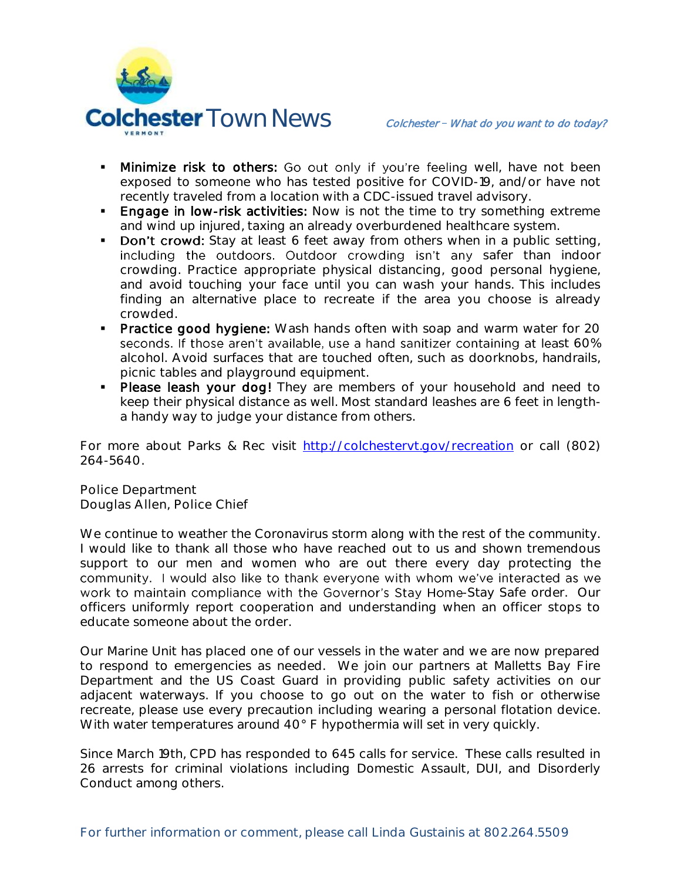

- **Minimize risk to others:** Go out only if you're feeling well, have not been exposed to someone who has tested positive for COVID-19, and/or have not recently traveled from a location with a CDC-issued travel advisory.
- **Engage in low-risk activities:** Now is not the time to try something extreme and wind up injured, taxing an already overburdened healthcare system.
- Don't crowd: Stay at least 6 feet away from others when in a public setting, including the outdoors. Outdoor crowding isn't any safer than indoor crowding. Practice appropriate physical distancing, good personal hygiene, and avoid touching your face until you can wash your hands. This includes finding an alternative place to recreate if the area you choose is already crowded.
- **Practice good hygiene:** Wash hands often with soap and warm water for 20 seconds. If those aren't available, use a hand sanitizer containing at least 60% alcohol. Avoid surfaces that are touched often, such as doorknobs, handrails, picnic tables and playground equipment.
- **Please leash your dog!** They are members of your household and need to keep their physical distance as well. Most standard leashes are 6 feet in lengtha handy way to judge your distance from others.

For more about Parks & Rec visit [http://colchestervt.gov/recreation](http://colchestervt.gov/Recreation/parksNRec.shtml) or call (802) 264-5640.

**Police Department Douglas Allen, Police Chief** 

We continue to weather the Coronavirus storm along with the rest of the community. I would like to thank all those who have reached out to us and shown tremendous support to our men and women who are out there every day protecting the community. I would also like to thank everyone with whom we've interacted as we work to maintain compliance with the Governor's Stay Home-Stay Safe order. Our officers uniformly report cooperation and understanding when an officer stops to educate someone about the order.

Our Marine Unit has placed one of our vessels in the water and we are now prepared to respond to emergencies as needed. We join our partners at Malletts Bay Fire Department and the US Coast Guard in providing public safety activities on our adjacent waterways. If you choose to go out on the water to fish or otherwise recreate, please use every precaution including wearing a personal flotation device. With water temperatures around 40° F hypothermia will set in very quickly.

Since March 19th, CPD has responded to 645 calls for service. These calls resulted in 26 arrests for criminal violations including Domestic Assault, DUI, and Disorderly Conduct among others.